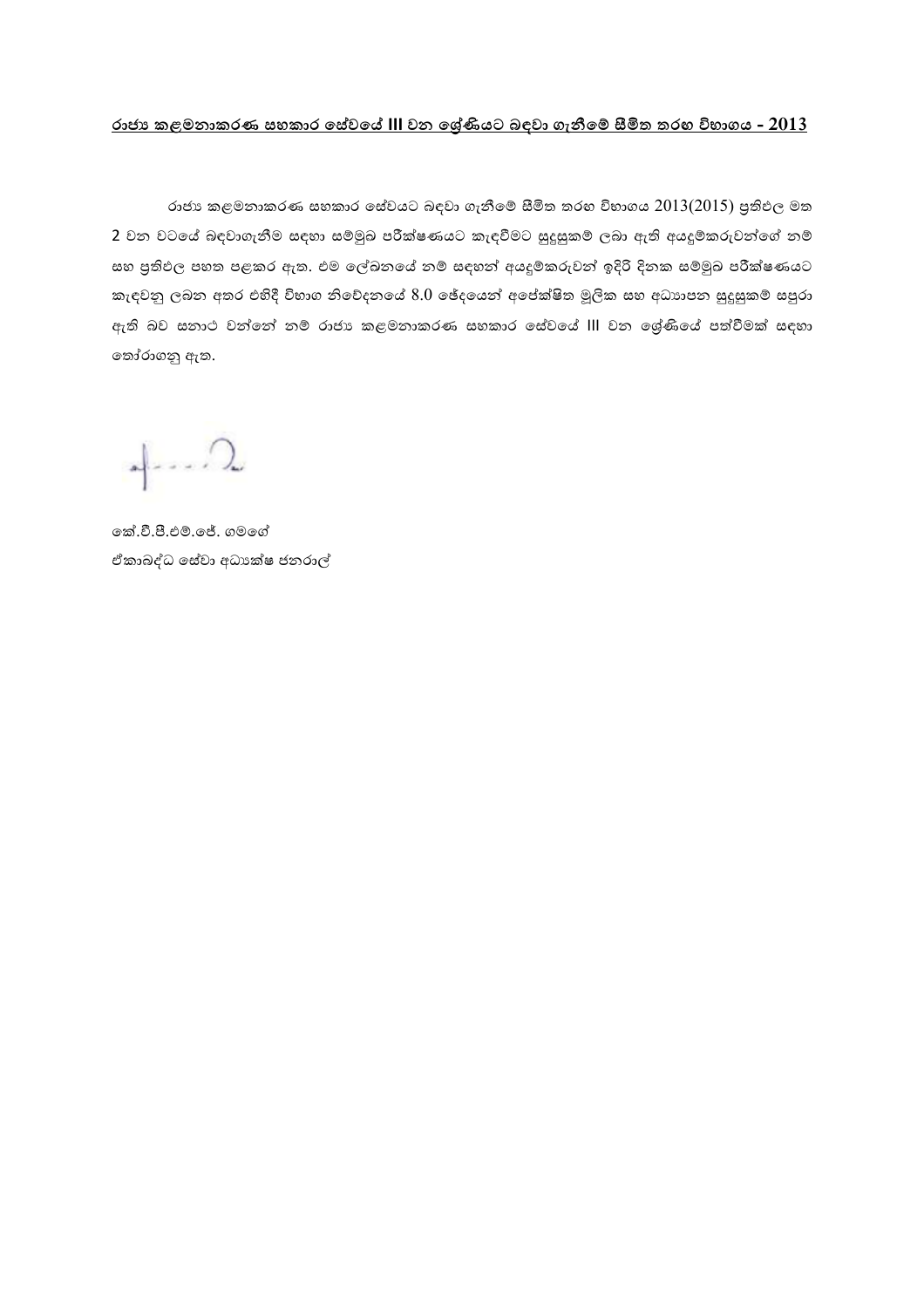## **රාජ්ය කළමනාකරණ සහකාර සසේවසේ III වන සරේණියට බ වාවා නීමේස සීමිත තරඟ විභාන - 2013**

රාජා කළමනාකරණ සහකාර සේවයට බඳවා ගැනීමේ සීමිත තරහ විභාගය  $2013(2015)$  පුතිඵල මත 2 වන වටයේ බඳවාගැනීම සඳහා සම්මුඛ පරීක්ෂණයට කැඳවීමට සුදුසුකම් ලබා ඇති අයදූම්කරුවන්ගේ නම් සහ පුතිඵල පහත පළකර ඇත. එම ලේඛනයේ නම් සඳහන් අයදූම්කරුවන් ඉදිරි දිනක සම්මුඛ පරීක්ෂණයට කැඳවනු ලබන අතර එහිදී විහාග නිවේදනයේ  $8.0$  ඡේදයෙන් අපේක්ෂිත මූලික සහ අධාහපන සුදුසුකම් සපුරා ඇති බව සනාථ වන්නේ නම් රාජා කළමනාකරණ සහකාර සේවයේ III වන ශේුණියේ පත්වීමක් සඳහා තෝරාගනු ඇත.

 $\sqrt{2}$ 

ේක් වී පී ම ේේ කැභේේ ඒකාබද්ධ සේවා අධා ක්ෂ ජනරාල්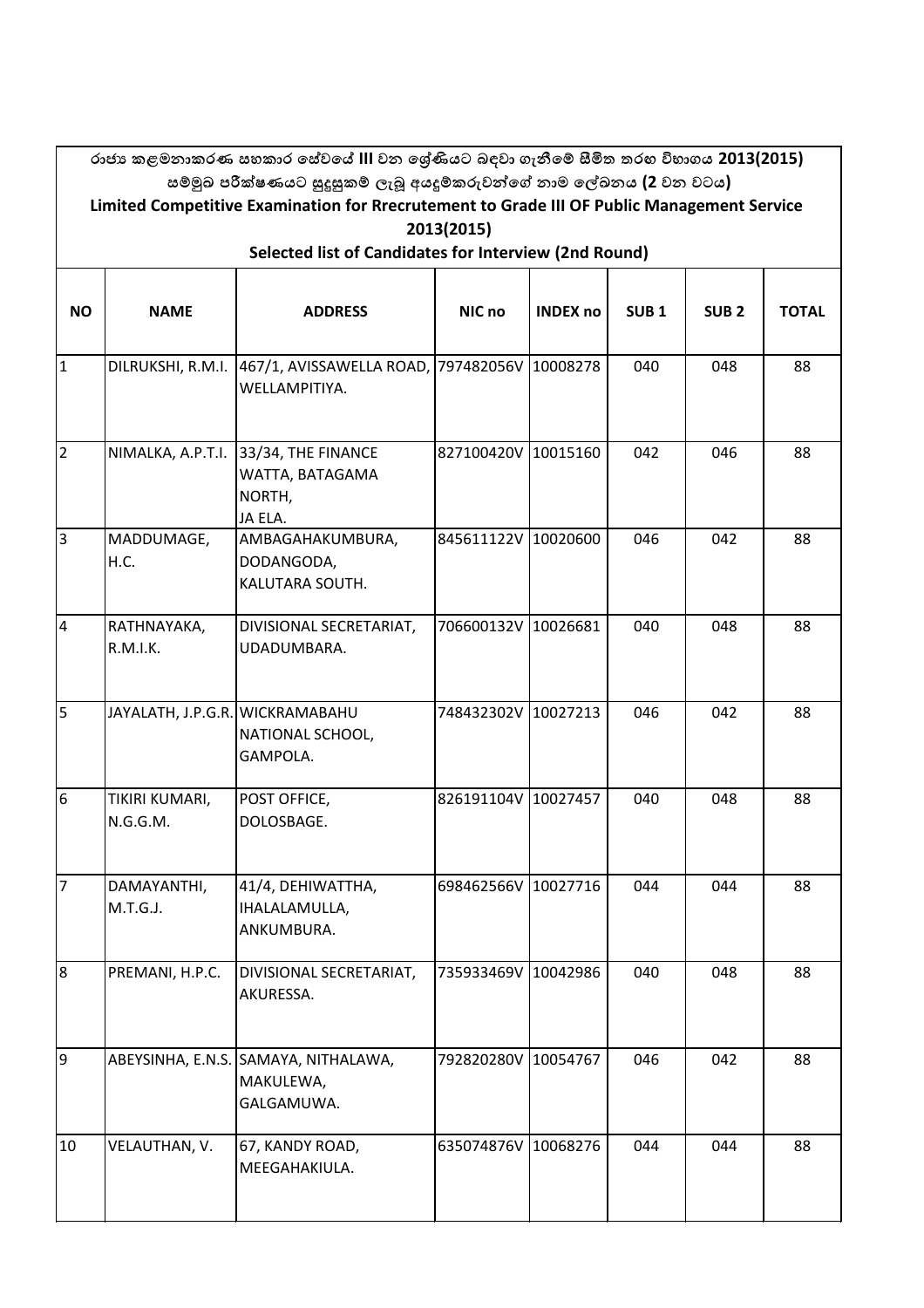|                                                       | රාජා කළමනාකරණ සහකාර සේවයේ III වන ශේුණියට බඳවා ගැනීමේ සීමිත තරහ විභාගය 2013(2015)<br>සම්මුඛ පරීක්ෂණයට සුදුසුකම් ලැබූ අයදූම්කරුවන්ගේ නාම ලේඛනය (2 වන වටය) |                                                                 |                     |                 |                  |                  |              |  |  |  |  |
|-------------------------------------------------------|---------------------------------------------------------------------------------------------------------------------------------------------------------|-----------------------------------------------------------------|---------------------|-----------------|------------------|------------------|--------------|--|--|--|--|
|                                                       | Limited Competitive Examination for Rrecrutement to Grade III OF Public Management Service<br>2013(2015)                                                |                                                                 |                     |                 |                  |                  |              |  |  |  |  |
| Selected list of Candidates for Interview (2nd Round) |                                                                                                                                                         |                                                                 |                     |                 |                  |                  |              |  |  |  |  |
| <b>NO</b>                                             | <b>NAME</b>                                                                                                                                             | <b>ADDRESS</b>                                                  | NIC no              | <b>INDEX no</b> | SUB <sub>1</sub> | SUB <sub>2</sub> | <b>TOTAL</b> |  |  |  |  |
| $\overline{1}$                                        | DILRUKSHI, R.M.I.                                                                                                                                       | 467/1, AVISSAWELLA ROAD,<br>WELLAMPITIYA.                       | 797482056V          | 10008278        | 040              | 048              | 88           |  |  |  |  |
| $\overline{2}$                                        | NIMALKA, A.P.T.I.                                                                                                                                       | 33/34, THE FINANCE<br>WATTA, BATAGAMA<br>NORTH,<br>JA ELA.      | 827100420V          | 10015160        | 042              | 046              | 88           |  |  |  |  |
| $\overline{3}$                                        | MADDUMAGE,<br>H.C.                                                                                                                                      | AMBAGAHAKUMBURA,<br>DODANGODA,<br>KALUTARA SOUTH.               | 845611122V 10020600 |                 | 046              | 042              | 88           |  |  |  |  |
| $\overline{4}$                                        | RATHNAYAKA,<br><b>R.M.I.K.</b>                                                                                                                          | DIVISIONAL SECRETARIAT,<br>UDADUMBARA.                          | 706600132V 10026681 |                 | 040              | 048              | 88           |  |  |  |  |
| $\overline{5}$                                        | JAYALATH, J.P.G.R. WICKRAMABAHU                                                                                                                         | NATIONAL SCHOOL,<br>GAMPOLA.                                    | 748432302V          | 10027213        | 046              | 042              | 88           |  |  |  |  |
| $6\overline{6}$                                       | TIKIRI KUMARI,<br>N.G.G.M.                                                                                                                              | POST OFFICE,<br>DOLOSBAGE.                                      | 826191104V          | 10027457        | 040              | 048              | 88           |  |  |  |  |
| $\overline{7}$                                        | DAMAYANTHI,<br>M.T.G.J.                                                                                                                                 | 41/4, DEHIWATTHA,<br>IHALALAMULLA,<br>ANKUMBURA.                | 698462566V 10027716 |                 | 044              | 044              | 88           |  |  |  |  |
| $\overline{8}$                                        | PREMANI, H.P.C.                                                                                                                                         | DIVISIONAL SECRETARIAT,<br>AKURESSA.                            | 735933469V          | 10042986        | 040              | 048              | 88           |  |  |  |  |
| $\overline{9}$                                        |                                                                                                                                                         | ABEYSINHA, E.N.S. SAMAYA, NITHALAWA,<br>MAKULEWA,<br>GALGAMUWA. | 792820280V          | 10054767        | 046              | 042              | 88           |  |  |  |  |
| 10                                                    | VELAUTHAN, V.                                                                                                                                           | 67, KANDY ROAD,<br>MEEGAHAKIULA.                                | 635074876V 10068276 |                 | 044              | 044              | 88           |  |  |  |  |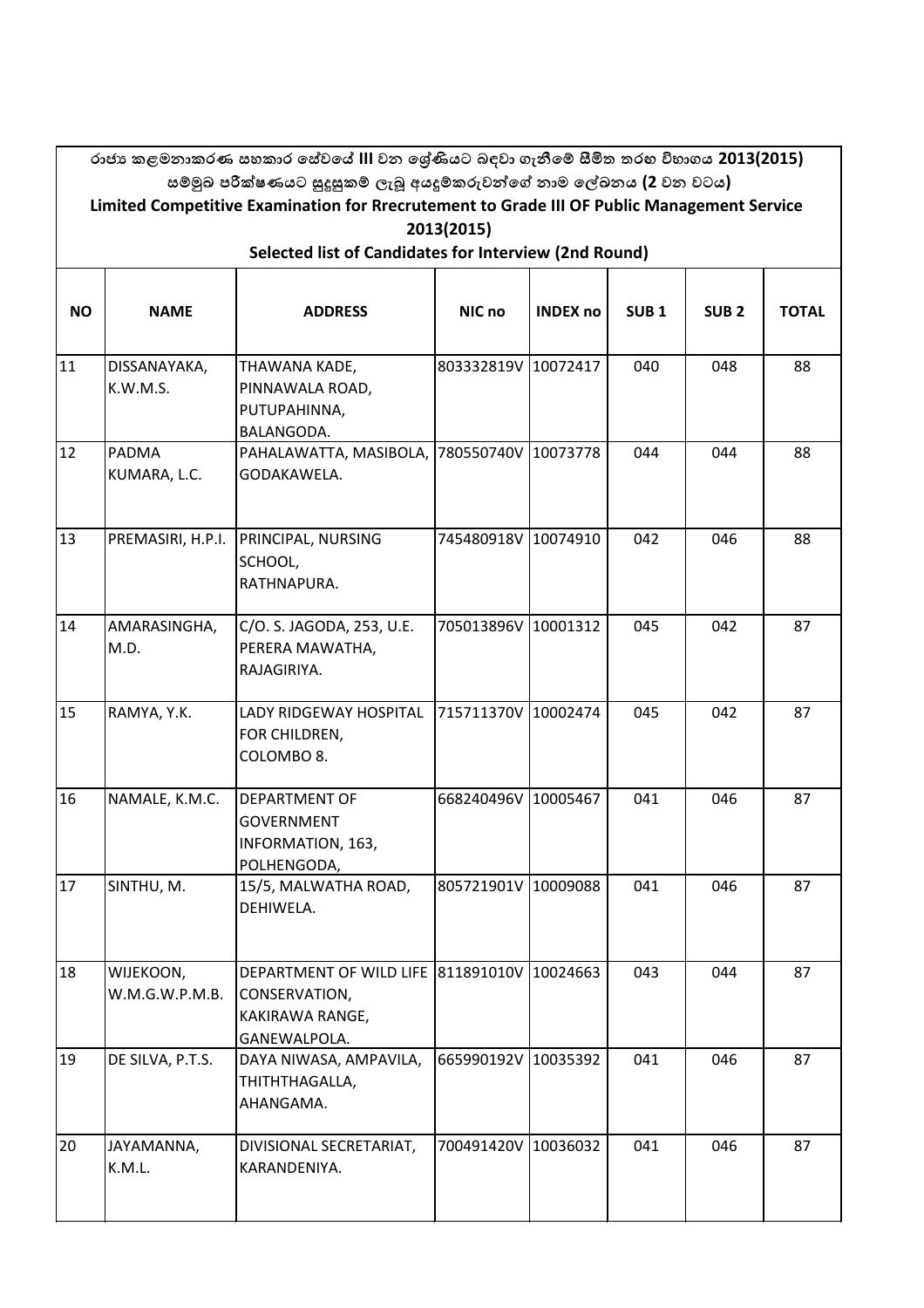|           |                                                                                                                                                                   | රාජා කළමනාකරණ සහකාර සේවයේ III වන ශේුණියට බඳවා ගැනීමේ සීමිත තරහ විභාගය 2013(2015)       |                     |                 |                  |                  |              |  |  |  |  |  |
|-----------|-------------------------------------------------------------------------------------------------------------------------------------------------------------------|----------------------------------------------------------------------------------------|---------------------|-----------------|------------------|------------------|--------------|--|--|--|--|--|
|           | සම්මුඛ පරීක්ෂණයට සුදුසුකම් ලැබූ අයදූම්කරුවන්ගේ නාම ලේඛනය (2 වන වටය)<br>Limited Competitive Examination for Rrecrutement to Grade III OF Public Management Service |                                                                                        |                     |                 |                  |                  |              |  |  |  |  |  |
|           | 2013(2015)                                                                                                                                                        |                                                                                        |                     |                 |                  |                  |              |  |  |  |  |  |
|           | Selected list of Candidates for Interview (2nd Round)                                                                                                             |                                                                                        |                     |                 |                  |                  |              |  |  |  |  |  |
| <b>NO</b> | <b>NAME</b>                                                                                                                                                       | <b>ADDRESS</b>                                                                         | NIC no              | <b>INDEX no</b> | SUB <sub>1</sub> | SUB <sub>2</sub> | <b>TOTAL</b> |  |  |  |  |  |
| 11        | DISSANAYAKA,<br>K.W.M.S.                                                                                                                                          | THAWANA KADE,<br>PINNAWALA ROAD,<br>PUTUPAHINNA,<br>BALANGODA.                         | 803332819V          | 10072417        | 040              | 048              | 88           |  |  |  |  |  |
| 12        | PADMA<br>KUMARA, L.C.                                                                                                                                             | PAHALAWATTA, MASIBOLA,<br>GODAKAWELA.                                                  | 780550740V          | 10073778        | 044              | 044              | 88           |  |  |  |  |  |
| 13        | PREMASIRI, H.P.I.                                                                                                                                                 | PRINCIPAL, NURSING<br>SCHOOL,<br>RATHNAPURA.                                           | 745480918V          | 10074910        | 042              | 046              | 88           |  |  |  |  |  |
| 14        | AMARASINGHA,<br>M.D.                                                                                                                                              | C/O. S. JAGODA, 253, U.E.<br>PERERA MAWATHA,<br>RAJAGIRIYA.                            | 705013896V          | 10001312        | 045              | 042              | 87           |  |  |  |  |  |
| 15        | RAMYA, Y.K.                                                                                                                                                       | LADY RIDGEWAY HOSPITAL<br>FOR CHILDREN,<br>COLOMBO 8.                                  | 715711370V          | 10002474        | 045              | 042              | 87           |  |  |  |  |  |
| 16        | NAMALE, K.M.C.                                                                                                                                                    | <b>DEPARTMENT OF</b><br>GOVERNMENT<br>INFORMATION, 163,<br>POLHENGODA,                 | 668240496V          | 10005467        | 041              | 046              | 87           |  |  |  |  |  |
| 17        | SINTHU, M.                                                                                                                                                        | 15/5, MALWATHA ROAD,<br>DEHIWELA.                                                      | 805721901V 10009088 |                 | 041              | 046              | 87           |  |  |  |  |  |
| 18        | WIJEKOON,<br>W.M.G.W.P.M.B.                                                                                                                                       | DEPARTMENT OF WILD LIFE 811891010V<br>CONSERVATION,<br>KAKIRAWA RANGE,<br>GANEWALPOLA. |                     | 10024663        | 043              | 044              | 87           |  |  |  |  |  |
| 19        | DE SILVA, P.T.S.                                                                                                                                                  | DAYA NIWASA, AMPAVILA,<br>THITHTHAGALLA,<br>AHANGAMA.                                  | 665990192V          | 10035392        | 041              | 046              | 87           |  |  |  |  |  |
| 20        | JAYAMANNA,<br>K.M.L.                                                                                                                                              | DIVISIONAL SECRETARIAT,<br>KARANDENIYA.                                                | 700491420V 10036032 |                 | 041              | 046              | 87           |  |  |  |  |  |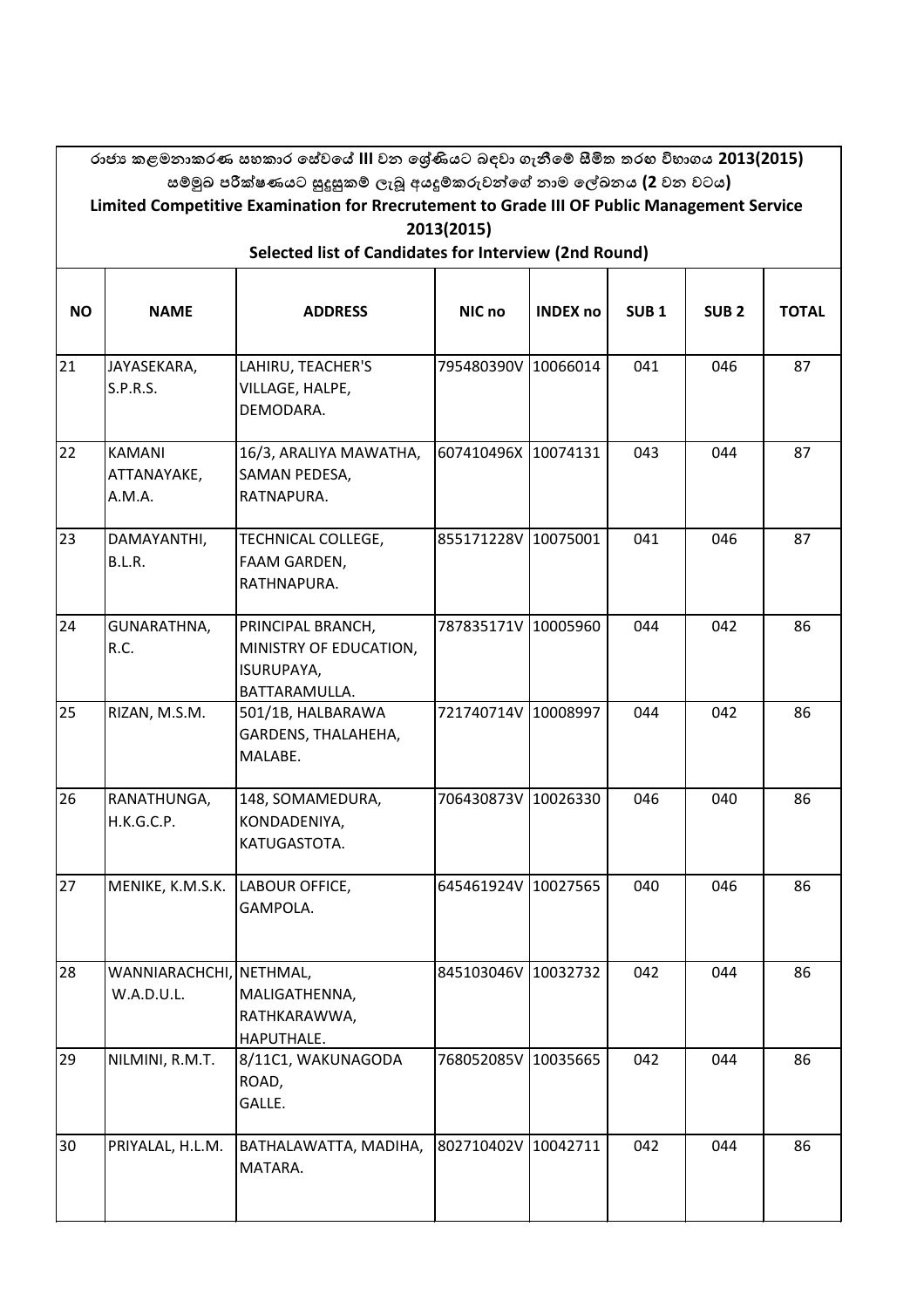|           | රාජා කළමනාකරණ සහකාර සේවයේ III වන ශේුණියට බඳවා ගැනීමේ සීමිත තරහ විභාගය 2013(2015)<br>සම්මුඛ පරීක්ෂණයට සුදුසුකම් ලැබූ අයදූම්කරුවන්ගේ නාම ලේඛනය (2 වන වටය)<br>Limited Competitive Examination for Rrecrutement to Grade III OF Public Management Service |                                                                            |                     |                 |                  |                  |              |  |  |  |  |  |
|-----------|-------------------------------------------------------------------------------------------------------------------------------------------------------------------------------------------------------------------------------------------------------|----------------------------------------------------------------------------|---------------------|-----------------|------------------|------------------|--------------|--|--|--|--|--|
|           | 2013(2015)<br>Selected list of Candidates for Interview (2nd Round)                                                                                                                                                                                   |                                                                            |                     |                 |                  |                  |              |  |  |  |  |  |
| <b>NO</b> | <b>NAME</b>                                                                                                                                                                                                                                           | <b>ADDRESS</b>                                                             | NIC no              | <b>INDEX no</b> | SUB <sub>1</sub> | SUB <sub>2</sub> | <b>TOTAL</b> |  |  |  |  |  |
| 21        | JAYASEKARA,<br>S.P.R.S.                                                                                                                                                                                                                               | LAHIRU, TEACHER'S<br>VILLAGE, HALPE,<br>DEMODARA.                          | 795480390V          | 10066014        | 041              | 046              | 87           |  |  |  |  |  |
| 22        | <b>KAMANI</b><br>ATTANAYAKE,<br>A.M.A.                                                                                                                                                                                                                | 16/3, ARALIYA MAWATHA,<br>SAMAN PEDESA,<br>RATNAPURA.                      | 607410496X 10074131 |                 | 043              | 044              | 87           |  |  |  |  |  |
| 23        | DAMAYANTHI,<br>B.L.R.                                                                                                                                                                                                                                 | TECHNICAL COLLEGE,<br>FAAM GARDEN,<br>RATHNAPURA.                          | 855171228V 10075001 |                 | 041              | 046              | 87           |  |  |  |  |  |
| 24        | GUNARATHNA,<br>R.C.                                                                                                                                                                                                                                   | PRINCIPAL BRANCH,<br>MINISTRY OF EDUCATION,<br>ISURUPAYA,<br>BATTARAMULLA. | 787835171V 10005960 |                 | 044              | 042              | 86           |  |  |  |  |  |
| 25        | RIZAN, M.S.M.                                                                                                                                                                                                                                         | 501/1B, HALBARAWA<br>GARDENS, THALAHEHA,<br>MALABE.                        | 721740714V 10008997 |                 | 044              | 042              | 86           |  |  |  |  |  |
| 26        | RANATHUNGA,<br>H.K.G.C.P.                                                                                                                                                                                                                             | 148, SOMAMEDURA,<br>KONDADENIYA,<br>KATUGASTOTA.                           | 706430873V 10026330 |                 | 046              | 040              | 86           |  |  |  |  |  |
| 27        | MENIKE, K.M.S.K.                                                                                                                                                                                                                                      | LABOUR OFFICE,<br>GAMPOLA.                                                 | 645461924V 10027565 |                 | 040              | 046              | 86           |  |  |  |  |  |
| 28        | WANNIARACHCHI,<br>W.A.D.U.L.                                                                                                                                                                                                                          | NETHMAL,<br>MALIGATHENNA,<br>RATHKARAWWA,<br>HAPUTHALE.                    | 845103046V          | 10032732        | 042              | 044              | 86           |  |  |  |  |  |
| 29        | NILMINI, R.M.T.                                                                                                                                                                                                                                       | 8/11C1, WAKUNAGODA<br>ROAD,<br>GALLE.                                      | 768052085V          | 10035665        | 042              | 044              | 86           |  |  |  |  |  |
| 30        | PRIYALAL, H.L.M.                                                                                                                                                                                                                                      | BATHALAWATTA, MADIHA,<br>MATARA.                                           | 802710402V 10042711 |                 | 042              | 044              | 86           |  |  |  |  |  |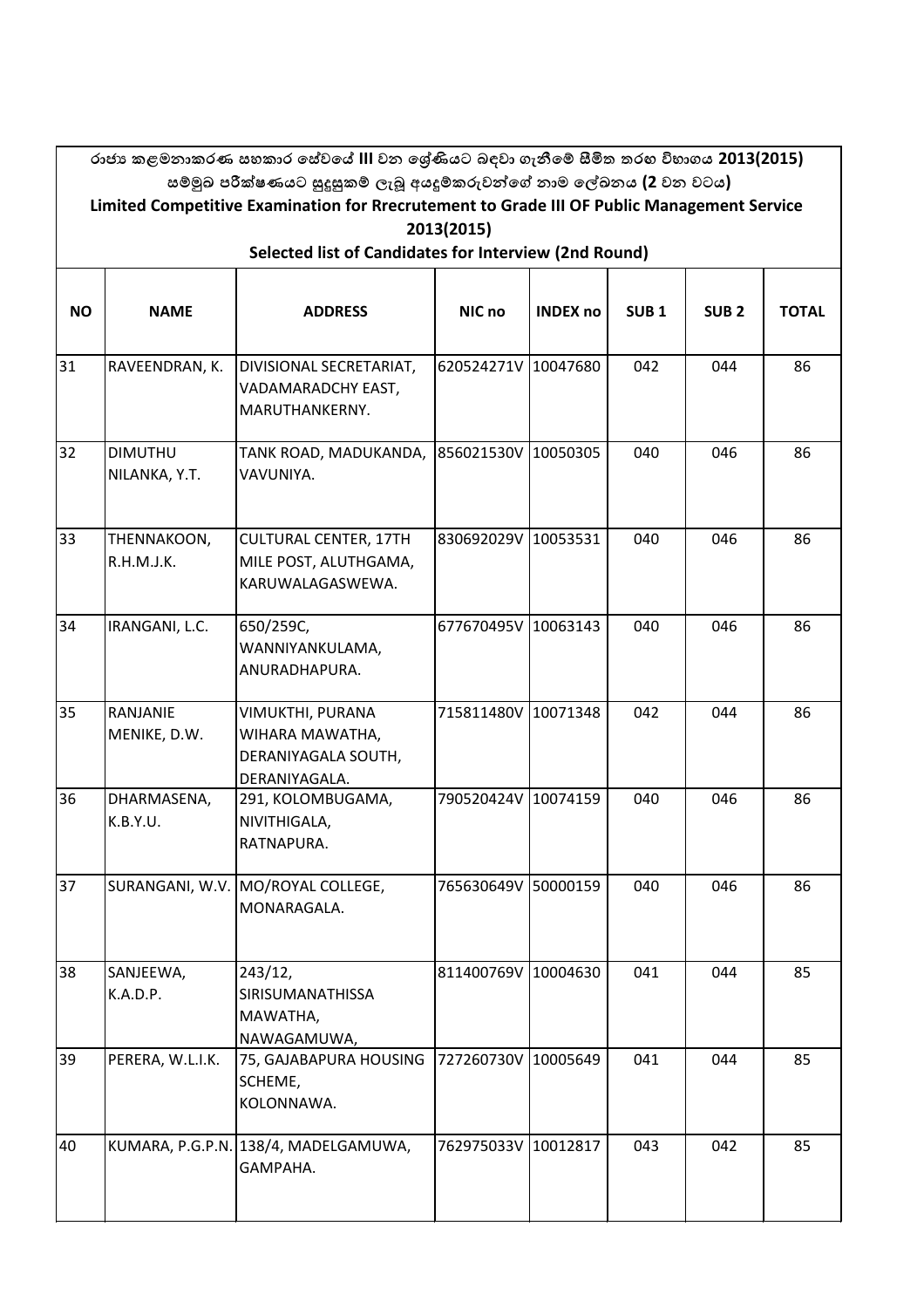|                                                       | රාජා කළමනාකරණ සහකාර සේවයේ III වන ශේුණියට බඳවා ගැනීමේ සීමිත තරහ විභාගය 2013(2015)                                                                                  |                                                                             |                     |                 |                  |                  |              |  |  |  |  |
|-------------------------------------------------------|-------------------------------------------------------------------------------------------------------------------------------------------------------------------|-----------------------------------------------------------------------------|---------------------|-----------------|------------------|------------------|--------------|--|--|--|--|
|                                                       | සම්මුඛ පරීක්ෂණයට සුදුසුකම් ලැබූ අයදූම්කරුවන්ගේ නාම ලේඛනය (2 වන වටය)<br>Limited Competitive Examination for Rrecrutement to Grade III OF Public Management Service |                                                                             |                     |                 |                  |                  |              |  |  |  |  |
|                                                       | 2013(2015)                                                                                                                                                        |                                                                             |                     |                 |                  |                  |              |  |  |  |  |
| Selected list of Candidates for Interview (2nd Round) |                                                                                                                                                                   |                                                                             |                     |                 |                  |                  |              |  |  |  |  |
|                                                       |                                                                                                                                                                   |                                                                             |                     |                 |                  |                  |              |  |  |  |  |
| <b>NO</b>                                             | <b>NAME</b>                                                                                                                                                       | <b>ADDRESS</b>                                                              | NIC no              | <b>INDEX no</b> | SUB <sub>1</sub> | SUB <sub>2</sub> | <b>TOTAL</b> |  |  |  |  |
|                                                       |                                                                                                                                                                   |                                                                             |                     |                 |                  |                  |              |  |  |  |  |
| 31                                                    | RAVEENDRAN, K.                                                                                                                                                    | DIVISIONAL SECRETARIAT,<br>VADAMARADCHY EAST,<br>MARUTHANKERNY.             | 620524271V 10047680 |                 | 042              | 044              | 86           |  |  |  |  |
| 32                                                    | <b>DIMUTHU</b><br>NILANKA, Y.T.                                                                                                                                   | TANK ROAD, MADUKANDA,<br>VAVUNIYA.                                          | 856021530V 10050305 |                 | 040              | 046              | 86           |  |  |  |  |
| 33                                                    | THENNAKOON,<br>R.H.M.J.K.                                                                                                                                         | <b>CULTURAL CENTER, 17TH</b><br>MILE POST, ALUTHGAMA,<br>KARUWALAGASWEWA.   | 830692029V 10053531 |                 | 040              | 046              | 86           |  |  |  |  |
| 34                                                    | IRANGANI, L.C.                                                                                                                                                    | 650/259C,<br>WANNIYANKULAMA,<br>ANURADHAPURA.                               | 677670495V 10063143 |                 | 040              | 046              | 86           |  |  |  |  |
| 35                                                    | RANJANIE<br>MENIKE, D.W.                                                                                                                                          | VIMUKTHI, PURANA<br>WIHARA MAWATHA,<br>DERANIYAGALA SOUTH,<br>DERANIYAGALA. | 715811480V 10071348 |                 | 042              | 044              | 86           |  |  |  |  |
| 36                                                    | DHARMASENA,<br>K.B.Y.U.                                                                                                                                           | 291, KOLOMBUGAMA,<br>NIVITHIGALA,<br>RATNAPURA.                             | 790520424V 10074159 |                 | 040              | 046              | 86           |  |  |  |  |
| 37                                                    |                                                                                                                                                                   | SURANGANI, W.V. MO/ROYAL COLLEGE,<br>MONARAGALA.                            | 765630649V 50000159 |                 | 040              | 046              | 86           |  |  |  |  |
| 38                                                    | SANJEEWA,<br>K.A.D.P.                                                                                                                                             | 243/12,<br>SIRISUMANATHISSA<br>MAWATHA,<br>NAWAGAMUWA,                      | 811400769V 10004630 |                 | 041              | 044              | 85           |  |  |  |  |
| 39                                                    | PERERA, W.L.I.K.                                                                                                                                                  | 75, GAJABAPURA HOUSING 727260730V 10005649<br>SCHEME,<br>KOLONNAWA.         |                     |                 | 041              | 044              | 85           |  |  |  |  |
| 40                                                    |                                                                                                                                                                   | KUMARA, P.G.P.N. 138/4, MADELGAMUWA,<br>GAMPAHA.                            | 762975033V 10012817 |                 | 043              | 042              | 85           |  |  |  |  |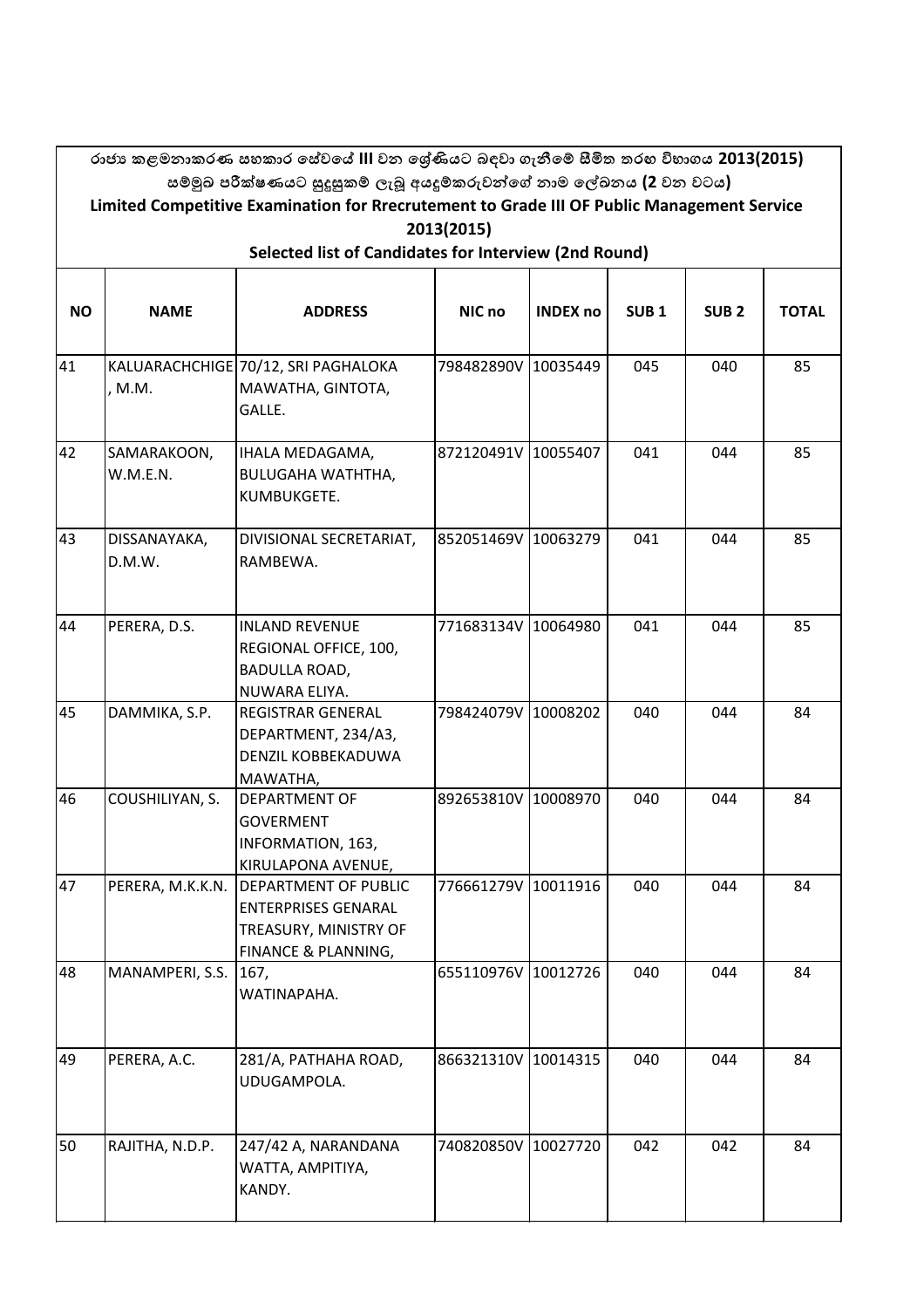|           | රාජා කළමනාකරණ සහකාර සේවයේ III වන ශේුණියට බඳවා ගැනීමේ සීමිත තරහ විභාගය 2013(2015)<br>සම්මුඛ පරීක්ෂණයට සුදුසුකම් ලැබූ අයදූම්කරුවන්ගේ නාම ලේඛනය (2 වන වටය)<br>Limited Competitive Examination for Rrecrutement to Grade III OF Public Management Service |                                                                                                           |                     |                 |                  |                  |              |  |  |  |  |  |
|-----------|-------------------------------------------------------------------------------------------------------------------------------------------------------------------------------------------------------------------------------------------------------|-----------------------------------------------------------------------------------------------------------|---------------------|-----------------|------------------|------------------|--------------|--|--|--|--|--|
|           | 2013(2015)<br>Selected list of Candidates for Interview (2nd Round)                                                                                                                                                                                   |                                                                                                           |                     |                 |                  |                  |              |  |  |  |  |  |
| <b>NO</b> | <b>NAME</b>                                                                                                                                                                                                                                           | <b>ADDRESS</b>                                                                                            | NIC no              | <b>INDEX no</b> | SUB <sub>1</sub> | SUB <sub>2</sub> | <b>TOTAL</b> |  |  |  |  |  |
| 41        | , M.M.                                                                                                                                                                                                                                                | KALUARACHCHIGE 70/12, SRI PAGHALOKA<br>MAWATHA, GINTOTA,<br>GALLE.                                        | 798482890V 10035449 |                 | 045              | 040              | 85           |  |  |  |  |  |
| 42        | SAMARAKOON,<br>W.M.E.N.                                                                                                                                                                                                                               | IHALA MEDAGAMA,<br><b>BULUGAHA WATHTHA,</b><br>KUMBUKGETE.                                                | 872120491V 10055407 |                 | 041              | 044              | 85           |  |  |  |  |  |
| 43        | DISSANAYAKA,<br>D.M.W.                                                                                                                                                                                                                                | DIVISIONAL SECRETARIAT,<br>RAMBEWA.                                                                       | 852051469V 10063279 |                 | 041              | 044              | 85           |  |  |  |  |  |
| 44        | PERERA, D.S.                                                                                                                                                                                                                                          | <b>INLAND REVENUE</b><br>REGIONAL OFFICE, 100,<br>BADULLA ROAD,<br>NUWARA ELIYA.                          | 771683134V 10064980 |                 | 041              | 044              | 85           |  |  |  |  |  |
| 45        | DAMMIKA, S.P.                                                                                                                                                                                                                                         | <b>REGISTRAR GENERAL</b><br>DEPARTMENT, 234/A3,<br><b>DENZIL KOBBEKADUWA</b><br>MAWATHA,                  | 798424079V 10008202 |                 | 040              | 044              | 84           |  |  |  |  |  |
| 46        | COUSHILIYAN, S.                                                                                                                                                                                                                                       | DEPARTMENT OF<br><b>GOVERMENT</b><br>INFORMATION, 163,<br>KIRULAPONA AVENUE,                              | 892653810V 10008970 |                 | 040              | 044              | 84           |  |  |  |  |  |
| 47        | PERERA, M.K.K.N.                                                                                                                                                                                                                                      | <b>DEPARTMENT OF PUBLIC</b><br><b>ENTERPRISES GENARAL</b><br>TREASURY, MINISTRY OF<br>FINANCE & PLANNING, | 776661279V 10011916 |                 | 040              | 044              | 84           |  |  |  |  |  |
| 48        | MANAMPERI, S.S.                                                                                                                                                                                                                                       | 167,<br>WATINAPAHA.                                                                                       | 655110976V 10012726 |                 | 040              | 044              | 84           |  |  |  |  |  |
| 49        | PERERA, A.C.                                                                                                                                                                                                                                          | 281/A, PATHAHA ROAD,<br>UDUGAMPOLA.                                                                       | 866321310V 10014315 |                 | 040              | 044              | 84           |  |  |  |  |  |
| 50        | RAJITHA, N.D.P.                                                                                                                                                                                                                                       | 247/42 A, NARANDANA<br>WATTA, AMPITIYA,<br>KANDY.                                                         | 740820850V 10027720 |                 | 042              | 042              | 84           |  |  |  |  |  |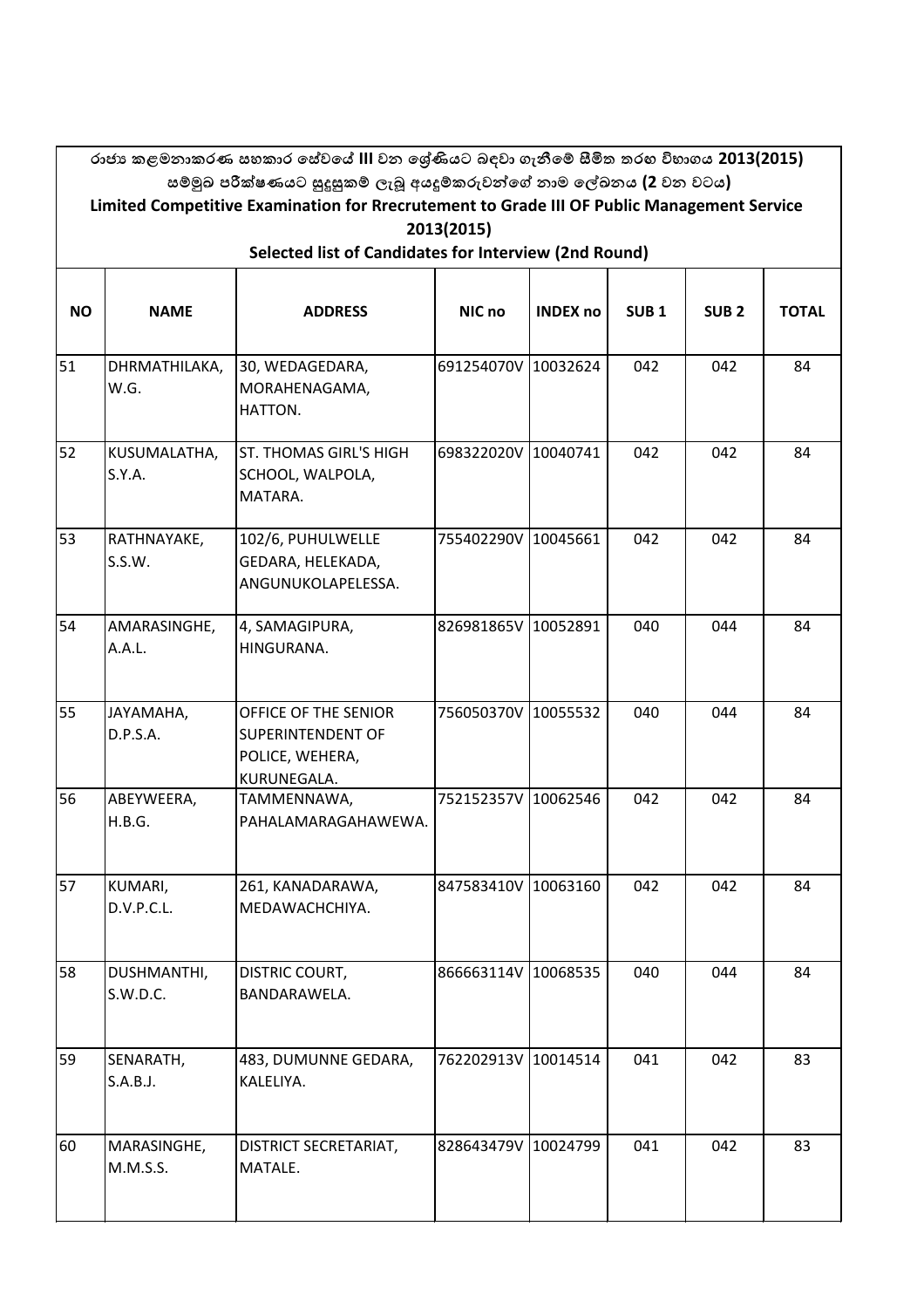|           |                                                                                                          | රාජා කළමනාකරණ සහකාර සේවයේ III වන ශේුණියට බඳවා ගැනීමේ සීමිත තරහ විභාගය 2013(2015)<br>සම්මුඛ පරීක්ෂණයට සුදුසුකම් ලැබූ අයදූම්කරුවන්ගේ නාම ලේඛනය (2 වන වටය) |                     |                 |                  |                  |              |  |  |  |  |  |
|-----------|----------------------------------------------------------------------------------------------------------|---------------------------------------------------------------------------------------------------------------------------------------------------------|---------------------|-----------------|------------------|------------------|--------------|--|--|--|--|--|
|           | Limited Competitive Examination for Rrecrutement to Grade III OF Public Management Service<br>2013(2015) |                                                                                                                                                         |                     |                 |                  |                  |              |  |  |  |  |  |
|           | Selected list of Candidates for Interview (2nd Round)                                                    |                                                                                                                                                         |                     |                 |                  |                  |              |  |  |  |  |  |
| <b>NO</b> | <b>NAME</b>                                                                                              | <b>ADDRESS</b>                                                                                                                                          | NIC no              | <b>INDEX no</b> | SUB <sub>1</sub> | SUB <sub>2</sub> | <b>TOTAL</b> |  |  |  |  |  |
| 51        | DHRMATHILAKA,<br>W.G.                                                                                    | 30, WEDAGEDARA,<br>MORAHENAGAMA,<br>HATTON.                                                                                                             | 691254070V          | 10032624        | 042              | 042              | 84           |  |  |  |  |  |
| 52        | KUSUMALATHA,<br>S.Y.A.                                                                                   | <b>ST. THOMAS GIRL'S HIGH</b><br>SCHOOL, WALPOLA,<br>MATARA.                                                                                            | 698322020V 10040741 |                 | 042              | 042              | 84           |  |  |  |  |  |
| 53        | RATHNAYAKE,<br>S.S.W.                                                                                    | 102/6, PUHULWELLE<br>GEDARA, HELEKADA,<br>ANGUNUKOLAPELESSA.                                                                                            | 755402290V 10045661 |                 | 042              | 042              | 84           |  |  |  |  |  |
| 54        | AMARASINGHE,<br>A.A.L.                                                                                   | 4, SAMAGIPURA,<br>HINGURANA.                                                                                                                            | 826981865V 10052891 |                 | 040              | 044              | 84           |  |  |  |  |  |
| 55        | JAYAMAHA,<br>D.P.S.A.                                                                                    | OFFICE OF THE SENIOR<br>SUPERINTENDENT OF<br>POLICE, WEHERA,<br>KURUNEGALA.                                                                             | 756050370V 10055532 |                 | 040              | 044              | 84           |  |  |  |  |  |
| 56        | ABEYWEERA,<br>H.B.G.                                                                                     | TAMMENNAWA,<br>PAHALAMARAGAHAWEWA.                                                                                                                      | 752152357V 10062546 |                 | 042              | 042              | 84           |  |  |  |  |  |
| 57        | KUMARI,<br>D.V.P.C.L.                                                                                    | 261, KANADARAWA,<br>MEDAWACHCHIYA.                                                                                                                      | 847583410V 10063160 |                 | 042              | 042              | 84           |  |  |  |  |  |
| 58        | DUSHMANTHI,<br>S.W.D.C.                                                                                  | <b>DISTRIC COURT,</b><br>BANDARAWELA.                                                                                                                   | 866663114V          | 10068535        | 040              | 044              | 84           |  |  |  |  |  |
| 59        | SENARATH,<br>S.A.B.J.                                                                                    | 483, DUMUNNE GEDARA,<br>KALELIYA.                                                                                                                       | 762202913V          | 10014514        | 041              | 042              | 83           |  |  |  |  |  |
| 60        | MARASINGHE,<br>M.M.S.S.                                                                                  | DISTRICT SECRETARIAT,<br>MATALE.                                                                                                                        | 828643479V 10024799 |                 | 041              | 042              | 83           |  |  |  |  |  |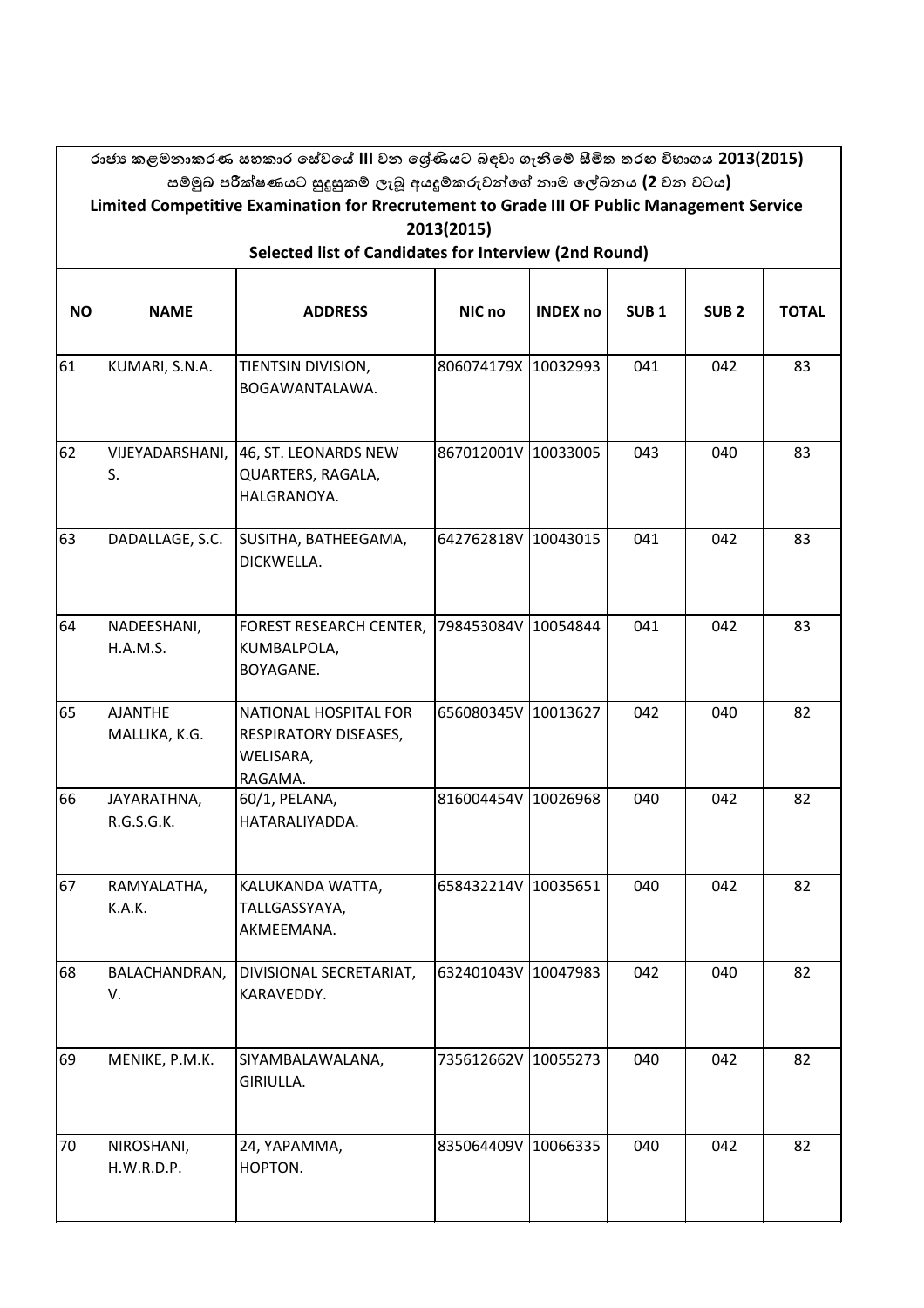|           | රාජා කළමනාකරණ සහකාර සේවයේ III වන ශේුණියට බඳවා ගැනීමේ සීමිත තරහ විභාගය 2013(2015)<br>සම්මුඛ පරීක්ෂණයට සුදුසුකම් ලැබූ අයදූම්කරුවන්ගේ නාම ලේඛනය (2 වන වටය)<br>Limited Competitive Examination for Rrecrutement to Grade III OF Public Management Service<br>2013(2015) |                                                                               |                     |                 |                  |                  |              |  |  |  |  |  |
|-----------|---------------------------------------------------------------------------------------------------------------------------------------------------------------------------------------------------------------------------------------------------------------------|-------------------------------------------------------------------------------|---------------------|-----------------|------------------|------------------|--------------|--|--|--|--|--|
|           | Selected list of Candidates for Interview (2nd Round)                                                                                                                                                                                                               |                                                                               |                     |                 |                  |                  |              |  |  |  |  |  |
| <b>NO</b> | <b>NAME</b>                                                                                                                                                                                                                                                         | <b>ADDRESS</b>                                                                | NIC no              | <b>INDEX no</b> | SUB <sub>1</sub> | SUB <sub>2</sub> | <b>TOTAL</b> |  |  |  |  |  |
| 61        | KUMARI, S.N.A.                                                                                                                                                                                                                                                      | TIENTSIN DIVISION,<br>BOGAWANTALAWA.                                          | 806074179X 10032993 |                 | 041              | 042              | 83           |  |  |  |  |  |
| 62        | VIJEYADARSHANI,<br>S.                                                                                                                                                                                                                                               | 46, ST. LEONARDS NEW<br>QUARTERS, RAGALA,<br>HALGRANOYA.                      | 867012001V 10033005 |                 | 043              | 040              | 83           |  |  |  |  |  |
| 63        | DADALLAGE, S.C.                                                                                                                                                                                                                                                     | SUSITHA, BATHEEGAMA,<br>DICKWELLA.                                            | 642762818V 10043015 |                 | 041              | 042              | 83           |  |  |  |  |  |
| 64        | NADEESHANI,<br><b>H.A.M.S.</b>                                                                                                                                                                                                                                      | <b>FOREST RESEARCH CENTER,</b><br>KUMBALPOLA,<br>BOYAGANE.                    | 798453084V 10054844 |                 | 041              | 042              | 83           |  |  |  |  |  |
| 65        | <b>AJANTHE</b><br>MALLIKA, K.G.                                                                                                                                                                                                                                     | <b>NATIONAL HOSPITAL FOR</b><br>RESPIRATORY DISEASES,<br>WELISARA,<br>RAGAMA. | 656080345V 10013627 |                 | 042              | 040              | 82           |  |  |  |  |  |
| 66        | JAYARATHNA,<br>R.G.S.G.K.                                                                                                                                                                                                                                           | 60/1, PELANA,<br>HATARALIYADDA.                                               | 816004454V 10026968 |                 | 040              | 042              | 82           |  |  |  |  |  |
| 67        | RAMYALATHA,<br>K.A.K.                                                                                                                                                                                                                                               | KALUKANDA WATTA,<br>TALLGASSYAYA,<br>AKMEEMANA.                               | 658432214V 10035651 |                 | 040              | 042              | 82           |  |  |  |  |  |
| 68        | BALACHANDRAN,<br>V.                                                                                                                                                                                                                                                 | DIVISIONAL SECRETARIAT,<br>KARAVEDDY.                                         | 632401043V          | 10047983        | 042              | 040              | 82           |  |  |  |  |  |
| 69        | MENIKE, P.M.K.                                                                                                                                                                                                                                                      | SIYAMBALAWALANA,<br>GIRIULLA.                                                 | 735612662V          | 10055273        | 040              | 042              | 82           |  |  |  |  |  |
| 70        | NIROSHANI,<br>H.W.R.D.P.                                                                                                                                                                                                                                            | 24, YAPAMMA,<br>HOPTON.                                                       | 835064409V 10066335 |                 | 040              | 042              | 82           |  |  |  |  |  |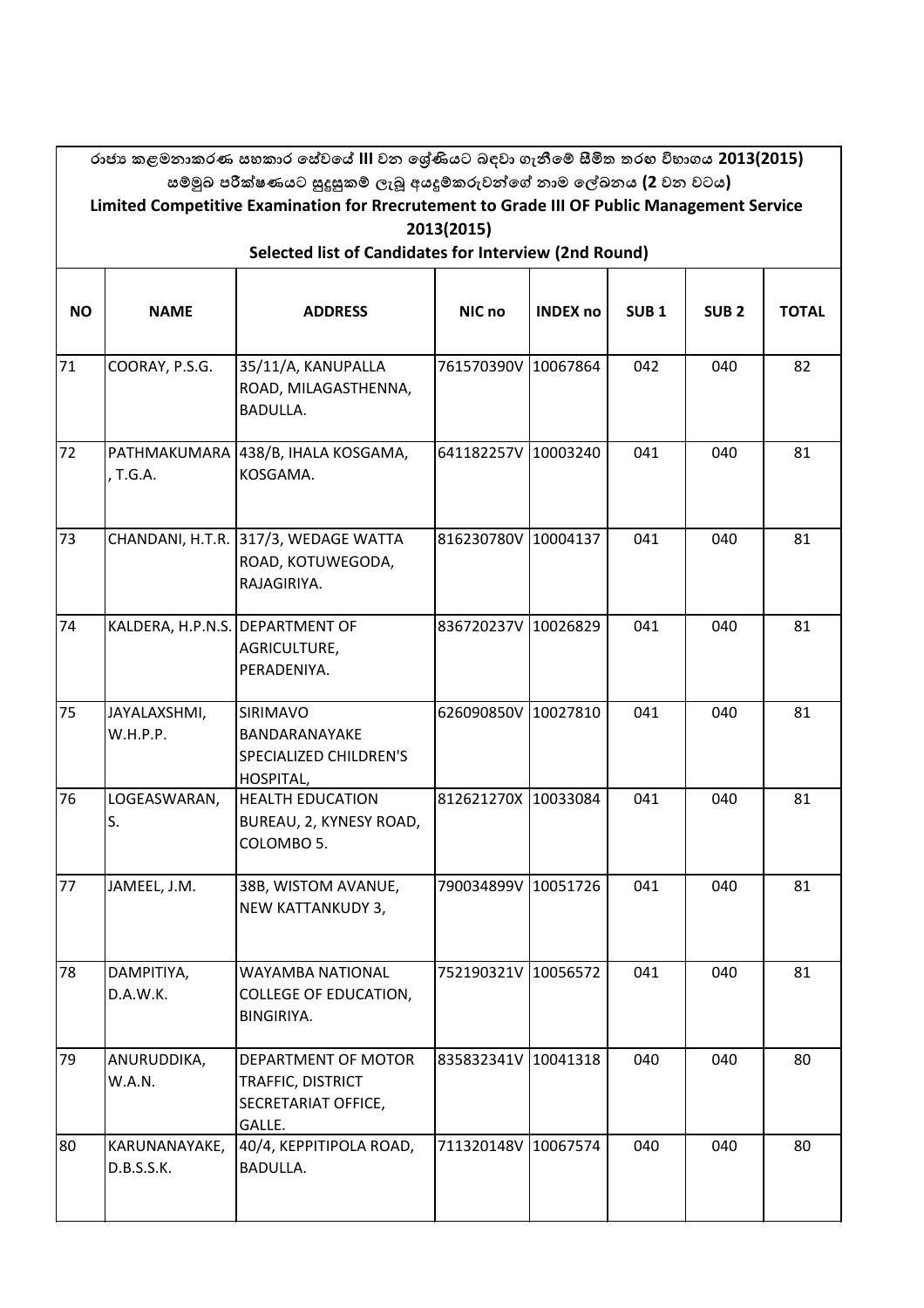|                                                       | රාජා කළමනාකරණ සහකාර සේවයේ III වන ශේණියට බඳවා ගැනීමේ සීමිත තරහ විභාගය 2013(2015)<br>සම්මුඛ පරීක්ෂණයට සුදුසුකම් ලැබූ අයදූම්කරුවන්ගේ නාම ලේඛනය (2 වන වටය) |                                                                           |                     |                 |                  |                  |              |  |  |  |  |  |
|-------------------------------------------------------|--------------------------------------------------------------------------------------------------------------------------------------------------------|---------------------------------------------------------------------------|---------------------|-----------------|------------------|------------------|--------------|--|--|--|--|--|
|                                                       | Limited Competitive Examination for Rrecrutement to Grade III OF Public Management Service<br>2013(2015)                                               |                                                                           |                     |                 |                  |                  |              |  |  |  |  |  |
| Selected list of Candidates for Interview (2nd Round) |                                                                                                                                                        |                                                                           |                     |                 |                  |                  |              |  |  |  |  |  |
| <b>NO</b>                                             | <b>NAME</b>                                                                                                                                            | <b>ADDRESS</b>                                                            | NIC no              | <b>INDEX no</b> | SUB <sub>1</sub> | SUB <sub>2</sub> | <b>TOTAL</b> |  |  |  |  |  |
| 71                                                    | COORAY, P.S.G.                                                                                                                                         | 35/11/A, KANUPALLA<br>ROAD, MILAGASTHENNA,<br><b>BADULLA.</b>             | 761570390V          | 10067864        | 042              | 040              | 82           |  |  |  |  |  |
| 72                                                    | , T.G.A.                                                                                                                                               | PATHMAKUMARA 438/B, IHALA KOSGAMA,<br>KOSGAMA.                            | 641182257V 10003240 |                 | 041              | 040              | 81           |  |  |  |  |  |
| 73                                                    |                                                                                                                                                        | CHANDANI, H.T.R. 317/3, WEDAGE WATTA<br>ROAD, KOTUWEGODA,<br>RAJAGIRIYA.  | 816230780V 10004137 |                 | 041              | 040              | 81           |  |  |  |  |  |
| 74                                                    | KALDERA, H.P.N.S. DEPARTMENT OF                                                                                                                        | AGRICULTURE,<br>PERADENIYA.                                               | 836720237V 10026829 |                 | 041              | 040              | 81           |  |  |  |  |  |
| 75                                                    | JAYALAXSHMI,<br>W.H.P.P.                                                                                                                               | <b>SIRIMAVO</b><br>BANDARANAYAKE<br>SPECIALIZED CHILDREN'S<br>HOSPITAL,   | 626090850V 10027810 |                 | 041              | 040              | 81           |  |  |  |  |  |
| 76                                                    | LOGEASWARAN,<br>S.                                                                                                                                     | <b>HEALTH EDUCATION</b><br>BUREAU, 2, KYNESY ROAD,<br>COLOMBO 5.          | 812621270X 10033084 |                 | 041              | 040              | 81           |  |  |  |  |  |
| 77                                                    | JAMEEL, J.M.                                                                                                                                           | 38B, WISTOM AVANUE,<br>NEW KATTANKUDY 3,                                  | 790034899V 10051726 |                 | 041              | 040              | 81           |  |  |  |  |  |
| 78                                                    | DAMPITIYA,<br>D.A.W.K.                                                                                                                                 | <b>WAYAMBA NATIONAL</b><br><b>COLLEGE OF EDUCATION,</b><br>BINGIRIYA.     | 752190321V 10056572 |                 | 041              | 040              | 81           |  |  |  |  |  |
| 79                                                    | ANURUDDIKA,<br>W.A.N.                                                                                                                                  | DEPARTMENT OF MOTOR<br>TRAFFIC, DISTRICT<br>SECRETARIAT OFFICE,<br>GALLE. | 835832341V          | 10041318        | 040              | 040              | 80           |  |  |  |  |  |
| 80                                                    | KARUNANAYAKE,<br>D.B.S.S.K.                                                                                                                            | 40/4, KEPPITIPOLA ROAD,<br><b>BADULLA.</b>                                | 711320148V 10067574 |                 | 040              | 040              | 80           |  |  |  |  |  |